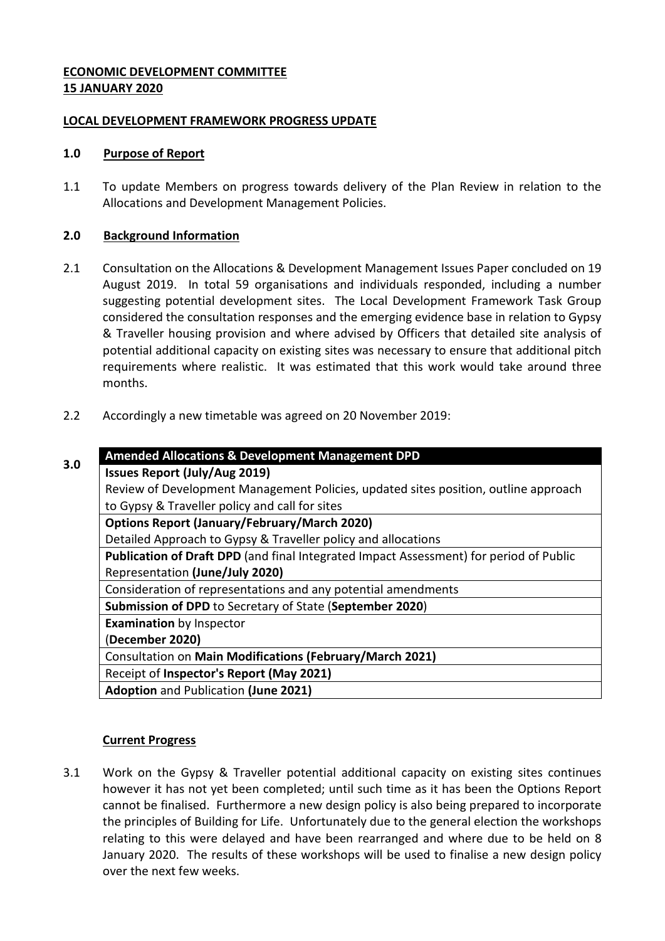# **ECONOMIC DEVELOPMENT COMMITTEE 15 JANUARY 2020**

## **LOCAL DEVELOPMENT FRAMEWORK PROGRESS UPDATE**

#### **1.0 Purpose of Report**

1.1 To update Members on progress towards delivery of the Plan Review in relation to the Allocations and Development Management Policies.

## **2.0 Background Information**

- 2.1 Consultation on the Allocations & Development Management Issues Paper concluded on 19 August 2019. In total 59 organisations and individuals responded, including a number suggesting potential development sites. The Local Development Framework Task Group considered the consultation responses and the emerging evidence base in relation to Gypsy & Traveller housing provision and where advised by Officers that detailed site analysis of potential additional capacity on existing sites was necessary to ensure that additional pitch requirements where realistic. It was estimated that this work would take around three months.
- 2.2 Accordingly a new timetable was agreed on 20 November 2019:

| 3.0 | <b>Amended Allocations &amp; Development Management DPD</b>                            |
|-----|----------------------------------------------------------------------------------------|
|     | <b>Issues Report (July/Aug 2019)</b>                                                   |
|     | Review of Development Management Policies, updated sites position, outline approach    |
|     | to Gypsy & Traveller policy and call for sites                                         |
|     | <b>Options Report (January/February/March 2020)</b>                                    |
|     | Detailed Approach to Gypsy & Traveller policy and allocations                          |
|     | Publication of Draft DPD (and final Integrated Impact Assessment) for period of Public |
|     | Representation (June/July 2020)                                                        |
|     | Consideration of representations and any potential amendments                          |
|     | Submission of DPD to Secretary of State (September 2020)                               |
|     | <b>Examination by Inspector</b>                                                        |
|     | (December 2020)                                                                        |
|     | Consultation on Main Modifications (February/March 2021)                               |
|     | Receipt of Inspector's Report (May 2021)                                               |
|     | <b>Adoption and Publication (June 2021)</b>                                            |

# **Current Progress**

3.1 Work on the Gypsy & Traveller potential additional capacity on existing sites continues however it has not yet been completed; until such time as it has been the Options Report cannot be finalised. Furthermore a new design policy is also being prepared to incorporate the principles of Building for Life. Unfortunately due to the general election the workshops relating to this were delayed and have been rearranged and where due to be held on 8 January 2020. The results of these workshops will be used to finalise a new design policy over the next few weeks.